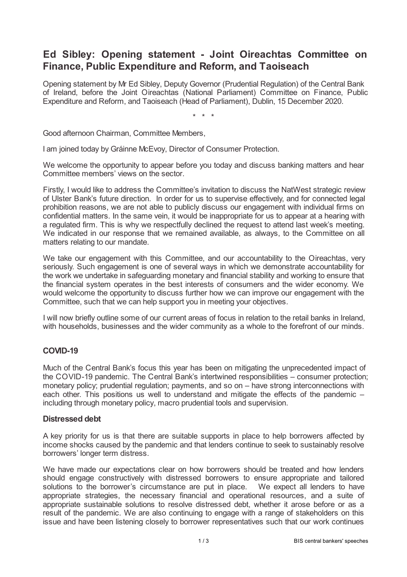# **Ed Sibley: Opening statement - Joint Oireachtas Committee on Finance, Public Expenditure and Reform, and Taoiseach**

Opening statement by Mr Ed Sibley, Deputy Governor (Prudential Regulation) of the Central Bank of Ireland, before the Joint Oireachtas (National Parliament) Committee on Finance, Public Expenditure and Reform, and Taoiseach (Head of Parliament), Dublin, 15 December 2020.

\* \* \*

Good afternoon Chairman, Committee Members,

I am joined today by Gráinne McEvoy, Director of Consumer Protection.

We welcome the opportunity to appear before you today and discuss banking matters and hear Committee members' views on the sector.

Firstly, I would like to address the Committee's invitation to discuss the NatWest strategic review of Ulster Bank's future direction. In order for us to supervise effectively, and for connected legal prohibition reasons, we are not able to publicly discuss our engagement with individual firms on confidential matters. In the same vein, it would be inappropriate for us to appear at a hearing with a regulated firm. This is why we respectfully declined the request to attend last week's meeting. We indicated in our response that we remained available, as always, to the Committee on all matters relating to our mandate.

We take our engagement with this Committee, and our accountability to the Oireachtas, very seriously. Such engagement is one of several ways in which we demonstrate accountability for the work we undertake in safeguarding monetary and financial stability and working to ensure that the financial system operates in the best interests of consumers and the wider economy. We would welcome the opportunity to discuss further how we can improve our engagement with the Committee, such that we can help support you in meeting your objectives.

I will now briefly outline some of our current areas of focus in relation to the retail banks in Ireland, with households, businesses and the wider community as a whole to the forefront of our minds.

## **COVID-19**

Much of the Central Bank's focus this year has been on mitigating the unprecedented impact of the COVID-19 pandemic. The Central Bank's intertwined responsibilities – consumer protection; monetary policy; prudential regulation; payments, and so on – have strong interconnections with each other. This positions us well to understand and mitigate the effects of the pandemic – including through monetary policy, macro prudential tools and supervision.

### **Distressed debt**

A key priority for us is that there are suitable supports in place to help borrowers affected by income shocks caused by the pandemic and that lenders continue to seek to sustainably resolve borrowers' longer term distress.

We have made our expectations clear on how borrowers should be treated and how lenders should engage constructively with distressed borrowers to ensure appropriate and tailored solutions to the borrower's circumstance are put in place. We expect all lenders to have appropriate strategies, the necessary financial and operational resources, and a suite of appropriate sustainable solutions to resolve distressed debt, whether it arose before or as a result of the pandemic. We are also continuing to engage with a range of stakeholders on this issue and have been listening closely to borrower representatives such that our work continues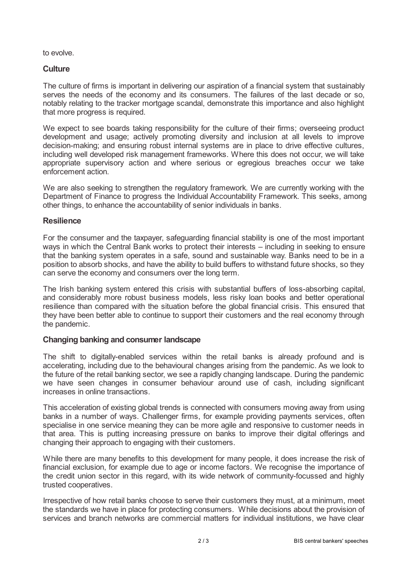to evolve.

## **Culture**

The culture of firms is important in delivering our aspiration of a financial system that sustainably serves the needs of the economy and its consumers. The failures of the last decade or so, notably relating to the tracker mortgage scandal, demonstrate this importance and also highlight that more progress is required.

We expect to see boards taking responsibility for the culture of their firms; overseeing product development and usage; actively promoting diversity and inclusion at all levels to improve decision-making; and ensuring robust internal systems are in place to drive effective cultures, including well developed risk management frameworks. Where this does not occur, we will take appropriate supervisory action and where serious or egregious breaches occur we take enforcement action.

We are also seeking to strengthen the regulatory framework. We are currently working with the Department of Finance to progress the Individual Accountability Framework. This seeks, among other things, to enhance the accountability of senior individuals in banks.

### **Resilience**

For the consumer and the taxpayer, safeguarding financial stability is one of the most important ways in which the Central Bank works to protect their interests – including in seeking to ensure that the banking system operates in a safe, sound and sustainable way. Banks need to be in a position to absorb shocks, and have the ability to build buffers to withstand future shocks, so they can serve the economy and consumers over the long term.

The Irish banking system entered this crisis with substantial buffers of loss-absorbing capital, and considerably more robust business models, less risky loan books and better operational resilience than compared with the situation before the global financial crisis. This ensured that they have been better able to continue to support their customers and the real economy through the pandemic.

### **Changing banking and consumer landscape**

The shift to digitally-enabled services within the retail banks is already profound and is accelerating, including due to the behavioural changes arising from the pandemic. As we look to the future of the retail banking sector, we see a rapidly changing landscape. During the pandemic we have seen changes in consumer behaviour around use of cash, including significant increases in online transactions.

This acceleration of existing global trends is connected with consumers moving away from using banks in a number of ways. Challenger firms, for example providing payments services, often specialise in one service meaning they can be more agile and responsive to customer needs in that area. This is putting increasing pressure on banks to improve their digital offerings and changing their approach to engaging with their customers.

While there are many benefits to this development for many people, it does increase the risk of financial exclusion, for example due to age or income factors. We recognise the importance of the credit union sector in this regard, with its wide network of community-focussed and highly trusted cooperatives.

Irrespective of how retail banks choose to serve their customers they must, at a minimum, meet the standards we have in place for protecting consumers. While decisions about the provision of services and branch networks are commercial matters for individual institutions, we have clear